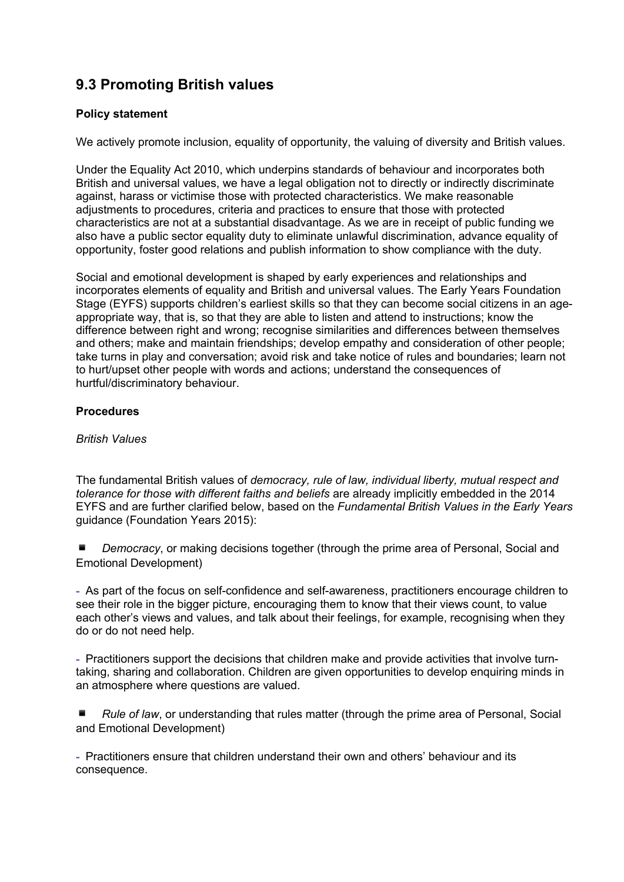# **9.3 Promoting British values**

## **Policy statement**

We actively promote inclusion, equality of opportunity, the valuing of diversity and British values.

Under the Equality Act 2010, which underpins standards of behaviour and incorporates both British and universal values, we have a legal obligation not to directly or indirectly discriminate against, harass or victimise those with protected characteristics. We make reasonable adjustments to procedures, criteria and practices to ensure that those with protected characteristics are not at a substantial disadvantage. As we are in receipt of public funding we also have a public sector equality duty to eliminate unlawful discrimination, advance equality of opportunity, foster good relations and publish information to show compliance with the duty.

Social and emotional development is shaped by early experiences and relationships and incorporates elements of equality and British and universal values. The Early Years Foundation Stage (EYFS) supports children's earliest skills so that they can become social citizens in an ageappropriate way, that is, so that they are able to listen and attend to instructions; know the difference between right and wrong; recognise similarities and differences between themselves and others; make and maintain friendships; develop empathy and consideration of other people; take turns in play and conversation; avoid risk and take notice of rules and boundaries; learn not to hurt/upset other people with words and actions; understand the consequences of hurtful/discriminatory behaviour.

## **Procedures**

#### *British Values*

The fundamental British values of *democracy, rule of law, individual liberty, mutual respect and tolerance for those with different faiths and beliefs* are already implicitly embedded in the 2014 EYFS and are further clarified below, based on the *Fundamental British Values in the Early Years*  guidance (Foundation Years 2015):

Democracy, or making decisions together (through the prime area of Personal, Social and Emotional Development)

**-** As part of the focus on self-confidence and self-awareness, practitioners encourage children to see their role in the bigger picture, encouraging them to know that their views count, to value each other's views and values, and talk about their feelings, for example, recognising when they do or do not need help.

**-** Practitioners support the decisions that children make and provide activities that involve turntaking, sharing and collaboration. Children are given opportunities to develop enquiring minds in an atmosphere where questions are valued.

Rule of law, or understanding that rules matter (through the prime area of Personal, Social and Emotional Development)

**-** Practitioners ensure that children understand their own and others' behaviour and its consequence.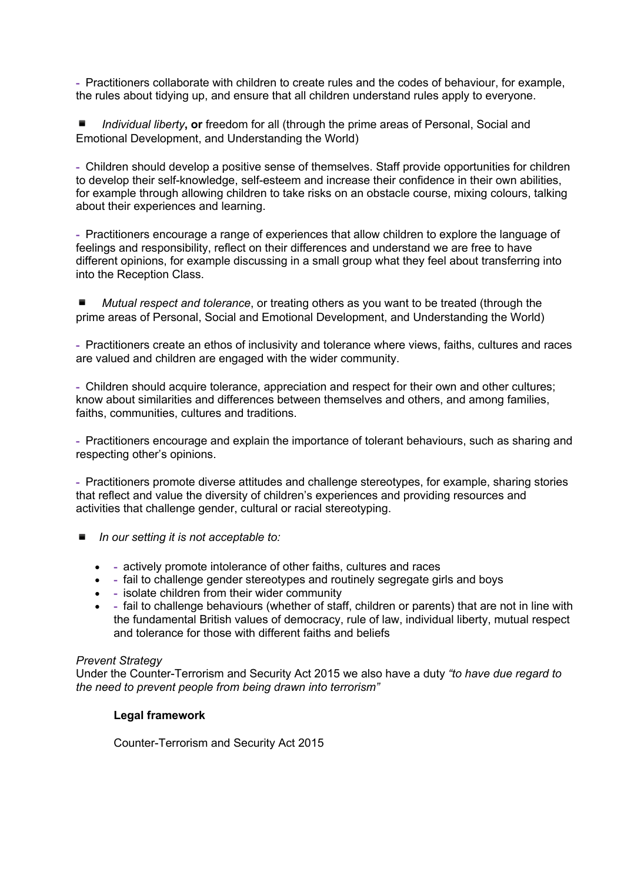**-** Practitioners collaborate with children to create rules and the codes of behaviour, for example, the rules about tidying up, and ensure that all children understand rules apply to everyone.

*Individual liberty*, or freedom for all (through the prime areas of Personal, Social and Emotional Development, and Understanding the World)

**-** Children should develop a positive sense of themselves. Staff provide opportunities for children to develop their self-knowledge, self-esteem and increase their confidence in their own abilities, for example through allowing children to take risks on an obstacle course, mixing colours, talking about their experiences and learning.

**-** Practitioners encourage a range of experiences that allow children to explore the language of feelings and responsibility, reflect on their differences and understand we are free to have different opinions, for example discussing in a small group what they feel about transferring into into the Reception Class.

*Mutual respect and tolerance*, or treating others as you want to be treated (through the prime areas of Personal, Social and Emotional Development, and Understanding the World)

**-** Practitioners create an ethos of inclusivity and tolerance where views, faiths, cultures and races are valued and children are engaged with the wider community.

**-** Children should acquire tolerance, appreciation and respect for their own and other cultures; know about similarities and differences between themselves and others, and among families, faiths, communities, cultures and traditions.

**-** Practitioners encourage and explain the importance of tolerant behaviours, such as sharing and respecting other's opinions.

**-** Practitioners promote diverse attitudes and challenge stereotypes, for example, sharing stories that reflect and value the diversity of children's experiences and providing resources and activities that challenge gender, cultural or racial stereotyping.

- *In our setting it is not acceptable to:* 
	- **-** actively promote intolerance of other faiths, cultures and races
	- **-** fail to challenge gender stereotypes and routinely segregate girls and boys
	- **-** isolate children from their wider community
	- **-** fail to challenge behaviours (whether of staff, children or parents) that are not in line with the fundamental British values of democracy, rule of law, individual liberty, mutual respect and tolerance for those with different faiths and beliefs

#### *Prevent Strategy*

Under the Counter-Terrorism and Security Act 2015 we also have a duty *"to have due regard to the need to prevent people from being drawn into terrorism"* 

### **Legal framework**

Counter-Terrorism and Security Act 2015